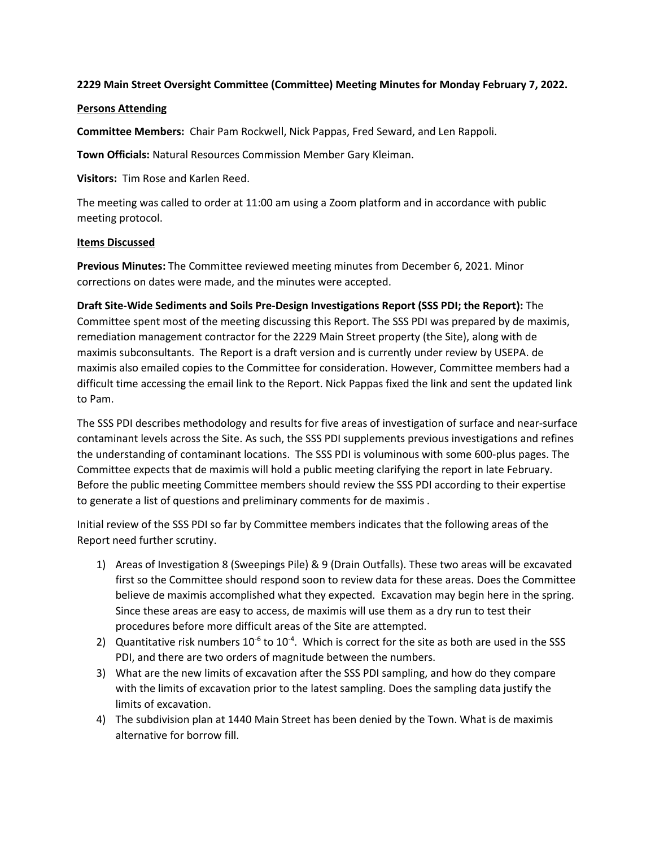## **2229 Main Street Oversight Committee (Committee) Meeting Minutes for Monday February 7, 2022.**

## **Persons Attending**

**Committee Members:** Chair Pam Rockwell, Nick Pappas, Fred Seward, and Len Rappoli.

**Town Officials:** Natural Resources Commission Member Gary Kleiman.

**Visitors:** Tim Rose and Karlen Reed.

The meeting was called to order at 11:00 am using a Zoom platform and in accordance with public meeting protocol.

## **Items Discussed**

**Previous Minutes:** The Committee reviewed meeting minutes from December 6, 2021. Minor corrections on dates were made, and the minutes were accepted.

**Draft Site-Wide Sediments and Soils Pre-Design Investigations Report (SSS PDI; the Report):** The Committee spent most of the meeting discussing this Report. The SSS PDI was prepared by de maximis, remediation management contractor for the 2229 Main Street property (the Site), along with de maximis subconsultants. The Report is a draft version and is currently under review by USEPA. de maximis also emailed copies to the Committee for consideration. However, Committee members had a difficult time accessing the email link to the Report. Nick Pappas fixed the link and sent the updated link to Pam.

The SSS PDI describes methodology and results for five areas of investigation of surface and near-surface contaminant levels across the Site. As such, the SSS PDI supplements previous investigations and refines the understanding of contaminant locations. The SSS PDI is voluminous with some 600-plus pages. The Committee expects that de maximis will hold a public meeting clarifying the report in late February. Before the public meeting Committee members should review the SSS PDI according to their expertise to generate a list of questions and preliminary comments for de maximis .

Initial review of the SSS PDI so far by Committee members indicates that the following areas of the Report need further scrutiny.

- 1) Areas of Investigation 8 (Sweepings Pile) & 9 (Drain Outfalls). These two areas will be excavated first so the Committee should respond soon to review data for these areas. Does the Committee believe de maximis accomplished what they expected. Excavation may begin here in the spring. Since these areas are easy to access, de maximis will use them as a dry run to test their procedures before more difficult areas of the Site are attempted.
- 2) Quantitative risk numbers  $10^{-6}$  to  $10^{-4}$ . Which is correct for the site as both are used in the SSS PDI, and there are two orders of magnitude between the numbers.
- 3) What are the new limits of excavation after the SSS PDI sampling, and how do they compare with the limits of excavation prior to the latest sampling. Does the sampling data justify the limits of excavation.
- 4) The subdivision plan at 1440 Main Street has been denied by the Town. What is de maximis alternative for borrow fill.